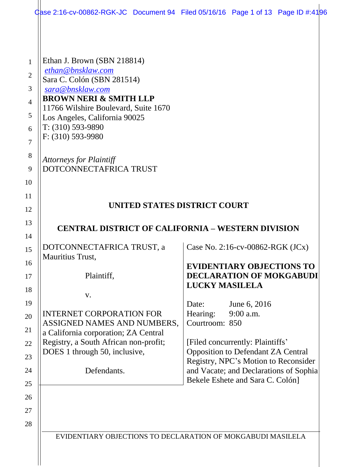|                                                                                        | Case 2:16-cv-00862-RGK-JC Document 94 Filed 05/16/16 Page 1 of 13 Page ID #:4196                                                                                                                                                                                                                                         |                                     |                                                                                                                       |  |
|----------------------------------------------------------------------------------------|--------------------------------------------------------------------------------------------------------------------------------------------------------------------------------------------------------------------------------------------------------------------------------------------------------------------------|-------------------------------------|-----------------------------------------------------------------------------------------------------------------------|--|
| 1<br>$\overline{2}$<br>3<br>$\overline{4}$<br>5<br>6<br>$\overline{7}$<br>8<br>9<br>10 | Ethan J. Brown (SBN 218814)<br>ethan@bnsklaw.com<br>Sara C. Colón (SBN 281514)<br>sara@bnsklaw.com<br><b>BROWN NERI &amp; SMITH LLP</b><br>11766 Wilshire Boulevard, Suite 1670<br>Los Angeles, California 90025<br>$T: (310) 593-9890$<br>F: (310) 593-9980<br><b>Attorneys for Plaintiff</b><br>DOTCONNECTAFRICA TRUST |                                     |                                                                                                                       |  |
| 11                                                                                     |                                                                                                                                                                                                                                                                                                                          |                                     |                                                                                                                       |  |
| 12                                                                                     | UNITED STATES DISTRICT COURT                                                                                                                                                                                                                                                                                             |                                     |                                                                                                                       |  |
| 13                                                                                     |                                                                                                                                                                                                                                                                                                                          |                                     |                                                                                                                       |  |
| 14                                                                                     | <b>CENTRAL DISTRICT OF CALIFORNIA – WESTERN DIVISION</b>                                                                                                                                                                                                                                                                 |                                     |                                                                                                                       |  |
| 15<br>16                                                                               | DOTCONNECTAFRICA TRUST, a<br>Mauritius Trust,                                                                                                                                                                                                                                                                            |                                     | Case No. 2:16-cv-00862-RGK $(JCx)$                                                                                    |  |
| 17<br>18                                                                               | Plaintiff,                                                                                                                                                                                                                                                                                                               | <b>LUCKY MASILELA</b>               | <b>EVIDENTIARY OBJECTIONS TO</b><br><b>DECLARATION OF MOKGABUDI</b>                                                   |  |
| 19<br>20<br>21                                                                         | V.<br><b>INTERNET CORPORATION FOR</b><br>ASSIGNED NAMES AND NUMBERS,<br>a California corporation; ZA Central                                                                                                                                                                                                             | Date:<br>Hearing:<br>Courtroom: 850 | June 6, 2016<br>9:00 a.m.                                                                                             |  |
| 22<br>23                                                                               | Registry, a South African non-profit;<br>DOES 1 through 50, inclusive,                                                                                                                                                                                                                                                   |                                     | [Filed concurrently: Plaintiffs'<br><b>Opposition to Defendant ZA Central</b><br>Registry, NPC's Motion to Reconsider |  |
| 24<br>25                                                                               | Defendants.                                                                                                                                                                                                                                                                                                              |                                     | and Vacate; and Declarations of Sophia<br>Bekele Eshete and Sara C. Colón]                                            |  |
| 26<br>27<br>28                                                                         |                                                                                                                                                                                                                                                                                                                          |                                     |                                                                                                                       |  |
|                                                                                        | EVIDENTIARY OBJECTIONS TO DECLARATION OF MOKGABUDI MASILELA                                                                                                                                                                                                                                                              |                                     |                                                                                                                       |  |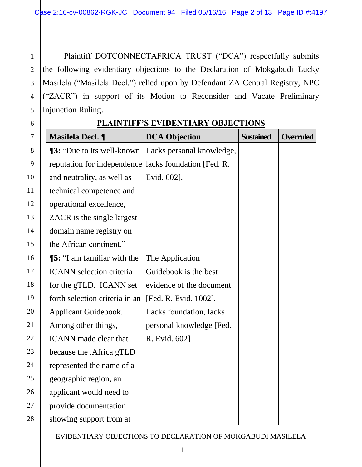Plaintiff DOTCONNECTAFRICA TRUST ("DCA") respectfully submits the following evidentiary objections to the Declaration of Mokgabudi Lucky Masilela ("Masilela Decl.") relied upon by Defendant ZA Central Registry, NPC ("ZACR") in support of its Motion to Reconsider and Vacate Preliminary Injunction Ruling.

1

2

3

4

5

6

| $\overline{7}$ | Masilela Decl. ¶                   | <b>DCA Objection</b>      | <b>Sustained</b> | <b>Overruled</b> |
|----------------|------------------------------------|---------------------------|------------------|------------------|
| 8              | <b>13:</b> "Due to its well-known" | Lacks personal knowledge, |                  |                  |
| 9              | reputation for independence        | lacks foundation [Fed. R. |                  |                  |
| 10             | and neutrality, as well as         | Evid. 602].               |                  |                  |
| 11             | technical competence and           |                           |                  |                  |
| 12             | operational excellence,            |                           |                  |                  |
| 13             | ZACR is the single largest         |                           |                  |                  |
| 14             | domain name registry on            |                           |                  |                  |
| 15             | the African continent."            |                           |                  |                  |
| 16             | <b>[5:</b> "I am familiar with the | The Application           |                  |                  |
| 17             | <b>ICANN</b> selection criteria    | Guidebook is the best     |                  |                  |
| 18             | for the gTLD. ICANN set            | evidence of the document  |                  |                  |
| 19             | forth selection criteria in an     | [Fed. R. Evid. 1002].     |                  |                  |
| 20             | Applicant Guidebook.               | Lacks foundation, lacks   |                  |                  |
| 21             | Among other things,                | personal knowledge [Fed.  |                  |                  |
| 22             | <b>ICANN</b> made clear that       | R. Evid. 602]             |                  |                  |
| 23             | because the .Africa gTLD           |                           |                  |                  |
| 24             | represented the name of a          |                           |                  |                  |
| 25             | geographic region, an              |                           |                  |                  |
| 26             | applicant would need to            |                           |                  |                  |
| 27             | provide documentation              |                           |                  |                  |
| 28             | showing support from at            |                           |                  |                  |

## **PLAINTIFF'S EVIDENTIARY OBJECTIONS**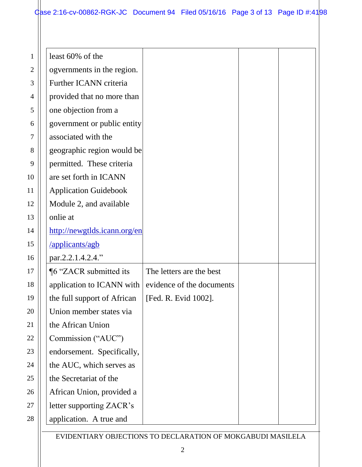## $\frac{1}{2}$  Case 2:16-cv-00862-RGK-JC Document 94 Filed 05/16/16 Page 3 of 13 Page ID #:4198

| least 60% of the             |                           |  |
|------------------------------|---------------------------|--|
| ogvernments in the region.   |                           |  |
| Further ICANN criteria       |                           |  |
| provided that no more than   |                           |  |
| one objection from a         |                           |  |
| government or public entity  |                           |  |
| associated with the          |                           |  |
| geographic region would be   |                           |  |
| permitted. These criteria    |                           |  |
| are set forth in ICANN       |                           |  |
| <b>Application Guidebook</b> |                           |  |
| Module 2, and available      |                           |  |
| onlie at                     |                           |  |
| http://newgtlds.icann.org/en |                           |  |
| /applicants/agb              |                           |  |
| par.2.2.1.4.2.4."            |                           |  |
| ¶6 "ZACR submitted its       | The letters are the best  |  |
| application to ICANN with    | evidence of the documents |  |
| the full support of African  | [Fed. R. Evid 1002].      |  |
| Union member states via      |                           |  |
| the African Union            |                           |  |
| Commission ("AUC")           |                           |  |
| endorsement. Specifically,   |                           |  |
| the AUC, which serves as     |                           |  |
| the Secretariat of the       |                           |  |
| African Union, provided a    |                           |  |
| letter supporting ZACR's     |                           |  |
| application. A true and      |                           |  |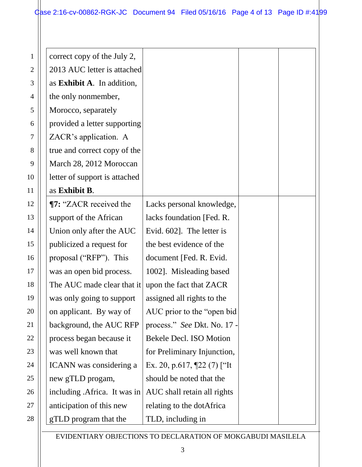| correct copy of the July 2,   |                                 |  |
|-------------------------------|---------------------------------|--|
| 2013 AUC letter is attached   |                                 |  |
| as Exhibit A. In addition,    |                                 |  |
| the only nonmember,           |                                 |  |
| Morocco, separately           |                                 |  |
| provided a letter supporting  |                                 |  |
| ZACR's application. A         |                                 |  |
| true and correct copy of the  |                                 |  |
| March 28, 2012 Moroccan       |                                 |  |
| letter of support is attached |                                 |  |
| as Exhibit B.                 |                                 |  |
| <b>T7: "ZACR received the</b> | Lacks personal knowledge,       |  |
| support of the African        | lacks foundation [Fed. R.       |  |
| Union only after the AUC      | Evid. 602]. The letter is       |  |
| publicized a request for      | the best evidence of the        |  |
| proposal ("RFP"). This        | document [Fed. R. Evid.         |  |
| was an open bid process.      | 1002]. Misleading based         |  |
| The AUC made clear that it    | upon the fact that ZACR         |  |
| was only going to support     | assigned all rights to the      |  |
| on applicant. By way of       | AUC prior to the "open bid"     |  |
| background, the AUC RFP       | process." See Dkt. No. 17 -     |  |
| process began because it      | Bekele Decl. ISO Motion         |  |
| was well known that           | for Preliminary Injunction,     |  |
| ICANN was considering a       | Ex. 20, p.617, $[22 (7)$ ["It"] |  |
| new gTLD progam,              | should be noted that the        |  |
| including .Africa. It was in  | AUC shall retain all rights     |  |
| anticipation of this new      | relating to the dotAfrica       |  |
| gTLD program that the         | TLD, including in               |  |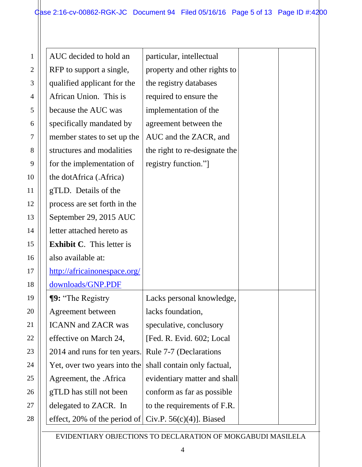| AUC decided to hold an           | particular, intellectual      |  |
|----------------------------------|-------------------------------|--|
| RFP to support a single,         | property and other rights to  |  |
| qualified applicant for the      | the registry databases        |  |
| African Union. This is           | required to ensure the        |  |
| because the AUC was              | implementation of the         |  |
| specifically mandated by         | agreement between the         |  |
| member states to set up the      | AUC and the ZACR, and         |  |
| structures and modalities        | the right to re-designate the |  |
| for the implementation of        | registry function."           |  |
| the dotAfrica (.Africa)          |                               |  |
| gTLD. Details of the             |                               |  |
| process are set forth in the     |                               |  |
| September 29, 2015 AUC           |                               |  |
| letter attached hereto as        |                               |  |
| <b>Exhibit C.</b> This letter is |                               |  |
| also available at:               |                               |  |
| http://africainonespace.org/     |                               |  |
| downloads/GNP.PDF                |                               |  |
| <b>[9:</b> "The Registry         | Lacks personal knowledge,     |  |
| Agreement between                | lacks foundation,             |  |
| <b>ICANN</b> and <b>ZACR</b> was | speculative, conclusory       |  |
| effective on March 24,           | [Fed. R. Evid. 602; Local     |  |
| 2014 and runs for ten years.     | Rule 7-7 (Declarations        |  |
| Yet, over two years into the     | shall contain only factual,   |  |
| Agreement, the .Africa           | evidentiary matter and shall  |  |
| gTLD has still not been          | conform as far as possible    |  |
| delegated to ZACR. In            | to the requirements of F.R.   |  |
| effect, 20% of the period of     | Civ.P. $56(c)(4)$ ]. Biased   |  |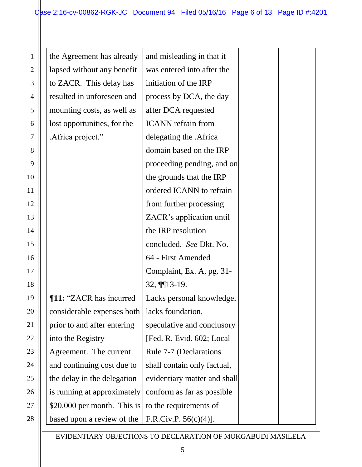| the Agreement has already      | and misleading in that it    |  |
|--------------------------------|------------------------------|--|
| lapsed without any benefit     | was entered into after the   |  |
| to ZACR. This delay has        | initiation of the IRP        |  |
| resulted in unforeseen and     | process by DCA, the day      |  |
| mounting costs, as well as     | after DCA requested          |  |
| lost opportunities, for the    | <b>ICANN</b> refrain from    |  |
| .Africa project."              | delegating the .Africa       |  |
|                                | domain based on the IRP      |  |
|                                | proceeding pending, and on   |  |
|                                | the grounds that the IRP     |  |
|                                | ordered ICANN to refrain     |  |
|                                | from further processing      |  |
|                                | ZACR's application until     |  |
|                                | the IRP resolution           |  |
|                                | concluded. See Dkt. No.      |  |
|                                | 64 - First Amended           |  |
|                                | Complaint, Ex. A, pg. 31-    |  |
|                                | $32, \frac{113-19}{.}$       |  |
| <b>T11: "ZACR has incurred</b> | Lacks personal knowledge,    |  |
| considerable expenses both     | lacks foundation,            |  |
| prior to and after entering    | speculative and conclusory   |  |
| into the Registry              | [Fed. R. Evid. 602; Local    |  |
| Agreement. The current         | Rule 7-7 (Declarations       |  |
| and continuing cost due to     | shall contain only factual,  |  |
| the delay in the delegation    | evidentiary matter and shall |  |
| is running at approximately    | conform as far as possible   |  |
| \$20,000 per month. This is    | to the requirements of       |  |
| based upon a review of the     | F.R.Civ.P. 56(c)(4)].        |  |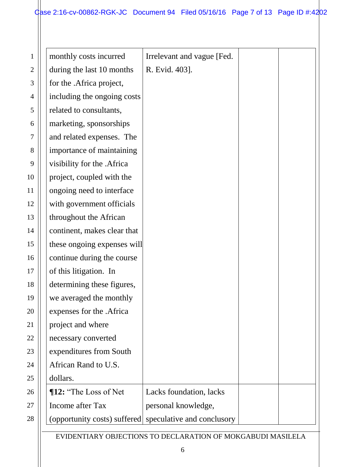## $\frac{1}{2}$  Case 2:16-cv-00862-RGK-JC Document 94 Filed 05/16/16 Page 7 of 13 Page ID #:4202

| monthly costs incurred                                  | Irrelevant and vague [Fed. |  |
|---------------------------------------------------------|----------------------------|--|
| during the last 10 months                               | R. Evid. 403].             |  |
| for the .Africa project,                                |                            |  |
| including the ongoing costs                             |                            |  |
| related to consultants,                                 |                            |  |
| marketing, sponsorships                                 |                            |  |
| and related expenses. The                               |                            |  |
| importance of maintaining                               |                            |  |
| visibility for the .Africa                              |                            |  |
| project, coupled with the                               |                            |  |
| ongoing need to interface                               |                            |  |
| with government officials                               |                            |  |
| throughout the African                                  |                            |  |
| continent, makes clear that                             |                            |  |
| these ongoing expenses will                             |                            |  |
| continue during the course                              |                            |  |
| of this litigation. In                                  |                            |  |
| determining these figures,                              |                            |  |
| we averaged the monthly                                 |                            |  |
| expenses for the .Africa                                |                            |  |
| project and where                                       |                            |  |
| necessary converted                                     |                            |  |
| expenditures from South                                 |                            |  |
| African Rand to U.S.                                    |                            |  |
| dollars.                                                |                            |  |
| <b>¶12:</b> "The Loss of Net                            | Lacks foundation, lacks    |  |
| Income after Tax                                        | personal knowledge,        |  |
| (opportunity costs) suffered speculative and conclusory |                            |  |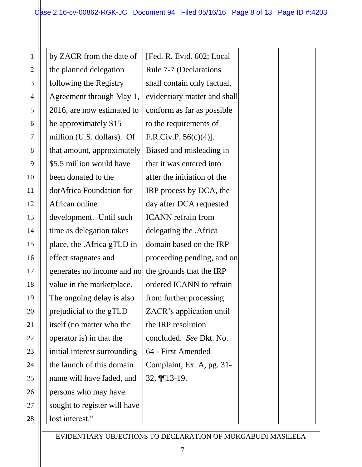| by ZACR from the date of     | [Fed. R. Evid. 602; Local    |  |
|------------------------------|------------------------------|--|
| the planned delegation       | Rule 7-7 (Declarations       |  |
| following the Registry       | shall contain only factual,  |  |
| Agreement through May 1,     | evidentiary matter and shall |  |
| 2016, are now estimated to   | conform as far as possible   |  |
| be approximately \$15        | to the requirements of       |  |
| million (U.S. dollars). Of   | F.R.Civ.P. $56(c)(4)$ ].     |  |
| that amount, approximately   | Biased and misleading in     |  |
| \$5.5 million would have     | that it was entered into     |  |
| been donated to the          | after the initiation of the  |  |
| dotAfrica Foundation for     | IRP process by DCA, the      |  |
| African online               | day after DCA requested      |  |
| development. Until such      | <b>ICANN</b> refrain from    |  |
| time as delegation takes     | delegating the .Africa       |  |
| place, the .Africa gTLD in   | domain based on the IRP      |  |
| effect stagnates and         | proceeding pending, and on   |  |
| generates no income and no   | the grounds that the IRP     |  |
| value in the marketplace.    | ordered ICANN to refrain     |  |
| The ongoing delay is also    | from further processing      |  |
| prejudicial to the gTLD      | ZACR's application until     |  |
| itself (no matter who the    | the IRP resolution           |  |
| operator is) in that the     | concluded. See Dkt. No.      |  |
| initial interest surrounding | 64 - First Amended           |  |
| the launch of this domain    | Complaint, Ex. A, pg. 31-    |  |
| name will have faded, and    | $32, \frac{113-19}{.}$       |  |
| persons who may have         |                              |  |
| sought to register will have |                              |  |
| lost interest."              |                              |  |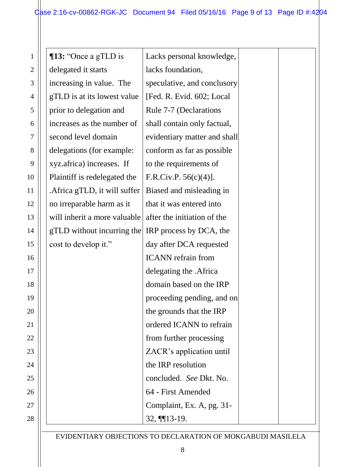| <b>13:</b> "Once a gTLD is    | Lacks personal knowledge,    |  |
|-------------------------------|------------------------------|--|
| delegated it starts           | lacks foundation,            |  |
| increasing in value. The      | speculative, and conclusory  |  |
| gTLD is at its lowest value   | [Fed. R. Evid. 602; Local    |  |
| prior to delegation and       | Rule 7-7 (Declarations       |  |
| increases as the number of    | shall contain only factual,  |  |
| second level domain           | evidentiary matter and shall |  |
| delegations (for example:     | conform as far as possible   |  |
| xyz.africa) increases. If     | to the requirements of       |  |
| Plaintiff is redelegated the  | F.R.Civ.P. $56(c)(4)$ ].     |  |
| . Africa gTLD, it will suffer | Biased and misleading in     |  |
| no irreparable harm as it     | that it was entered into     |  |
| will inherit a more valuable  | after the initiation of the  |  |
| gTLD without incurring the    | IRP process by DCA, the      |  |
| cost to develop it."          | day after DCA requested      |  |
|                               | <b>ICANN</b> refrain from    |  |
|                               | delegating the .Africa       |  |
|                               | domain based on the IRP      |  |
|                               | proceeding pending, and on   |  |
|                               | the grounds that the IRP     |  |
|                               | ordered ICANN to refrain     |  |
|                               | from further processing      |  |
|                               | ZACR's application until     |  |
|                               | the IRP resolution           |  |
|                               | concluded. See Dkt. No.      |  |
|                               | 64 - First Amended           |  |
|                               | Complaint, Ex. A, pg. 31-    |  |
|                               | $32, \frac{113-19}{.}$       |  |
|                               |                              |  |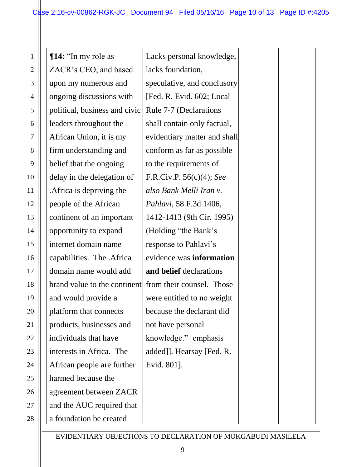| <b>¶14:</b> "In my role as    | Lacks personal knowledge,    |  |
|-------------------------------|------------------------------|--|
| ZACR's CEO, and based         | lacks foundation,            |  |
| upon my numerous and          | speculative, and conclusory  |  |
| ongoing discussions with      | [Fed. R. Evid. 602; Local    |  |
| political, business and civic | Rule 7-7 (Declarations       |  |
| leaders throughout the        | shall contain only factual,  |  |
| African Union, it is my       | evidentiary matter and shall |  |
| firm understanding and        | conform as far as possible   |  |
| belief that the ongoing       | to the requirements of       |  |
| delay in the delegation of    | F.R.Civ.P. $56(c)(4)$ ; See  |  |
| . Africa is depriving the     | also Bank Melli Iran v.      |  |
| people of the African         | Pahlavi, 58 F.3d 1406,       |  |
| continent of an important     | 1412-1413 (9th Cir. 1995)    |  |
| opportunity to expand         | (Holding "the Bank's         |  |
| internet domain name          | response to Pahlavi's        |  |
| capabilities. The .Africa     | evidence was information     |  |
| domain name would add         | and belief declarations      |  |
| brand value to the continent  | from their counsel. Those    |  |
| and would provide a           | were entitled to no weight   |  |
| platform that connects        | because the declarant did    |  |
| products, businesses and      | not have personal            |  |
| individuals that have         | knowledge." [emphasis]       |  |
| interests in Africa. The      | added]]. Hearsay [Fed. R.    |  |
| African people are further    | Evid. 801].                  |  |
| harmed because the            |                              |  |
| agreement between ZACR        |                              |  |
| and the AUC required that     |                              |  |
| a foundation be created       |                              |  |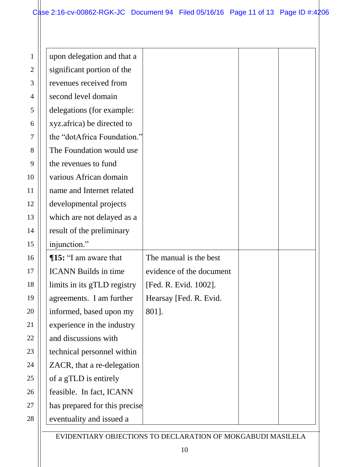| upon delegation and that a    |                          |  |
|-------------------------------|--------------------------|--|
| significant portion of the    |                          |  |
| revenues received from        |                          |  |
| second level domain           |                          |  |
| delegations (for example:     |                          |  |
| xyz.africa) be directed to    |                          |  |
| the "dotAfrica Foundation."   |                          |  |
| The Foundation would use      |                          |  |
| the revenues to fund          |                          |  |
| various African domain        |                          |  |
| name and Internet related     |                          |  |
| developmental projects        |                          |  |
| which are not delayed as a    |                          |  |
| result of the preliminary     |                          |  |
| injunction."                  |                          |  |
| ¶15: "I am aware that         | The manual is the best   |  |
| <b>ICANN</b> Builds in time   | evidence of the document |  |
| limits in its gTLD registry   | [Fed. R. Evid. 1002].    |  |
| agreements. I am further      | Hearsay [Fed. R. Evid.   |  |
| informed, based upon my       | 801].                    |  |
| experience in the industry    |                          |  |
| and discussions with          |                          |  |
| technical personnel within    |                          |  |
| ZACR, that a re-delegation    |                          |  |
| of a gTLD is entirely         |                          |  |
| feasible. In fact, ICANN      |                          |  |
| has prepared for this precise |                          |  |
| eventuality and issued a      |                          |  |
|                               |                          |  |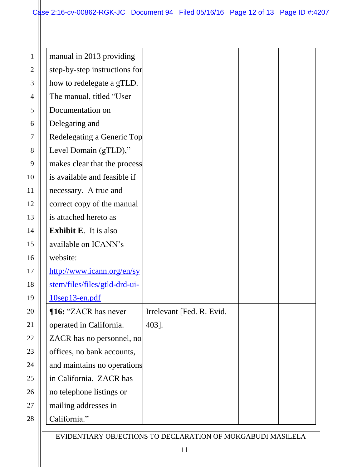manual in 2013 providing

step-by-step instructions for

how to redelegate a gTLD.

Redelegating a Generic Top

makes clear that the process

is available and feasible if

Level Domain (gTLD),"

The manual, titled "User

Documentation on

Delegating and

| necessary. A true and         |                                                             |  |
|-------------------------------|-------------------------------------------------------------|--|
| correct copy of the manual    |                                                             |  |
| is attached hereto as         |                                                             |  |
| <b>Exhibit E.</b> It is also  |                                                             |  |
| available on ICANN's          |                                                             |  |
| website:                      |                                                             |  |
| http://www.icann.org/en/sy    |                                                             |  |
| stem/files/files/gtld-drd-ui- |                                                             |  |
| 10sep13-en.pdf                |                                                             |  |
| <b>T16: "ZACR has never</b>   | Irrelevant [Fed. R. Evid.                                   |  |
| operated in California.       | 403].                                                       |  |
| ZACR has no personnel, no     |                                                             |  |
| offices, no bank accounts,    |                                                             |  |
| and maintains no operations   |                                                             |  |
| in California. ZACR has       |                                                             |  |
| no telephone listings or      |                                                             |  |
| mailing addresses in          |                                                             |  |
| California."                  |                                                             |  |
|                               | EVIDENTIARY OBJECTIONS TO DECLARATION OF MOKGABUDI MASILELA |  |
|                               |                                                             |  |